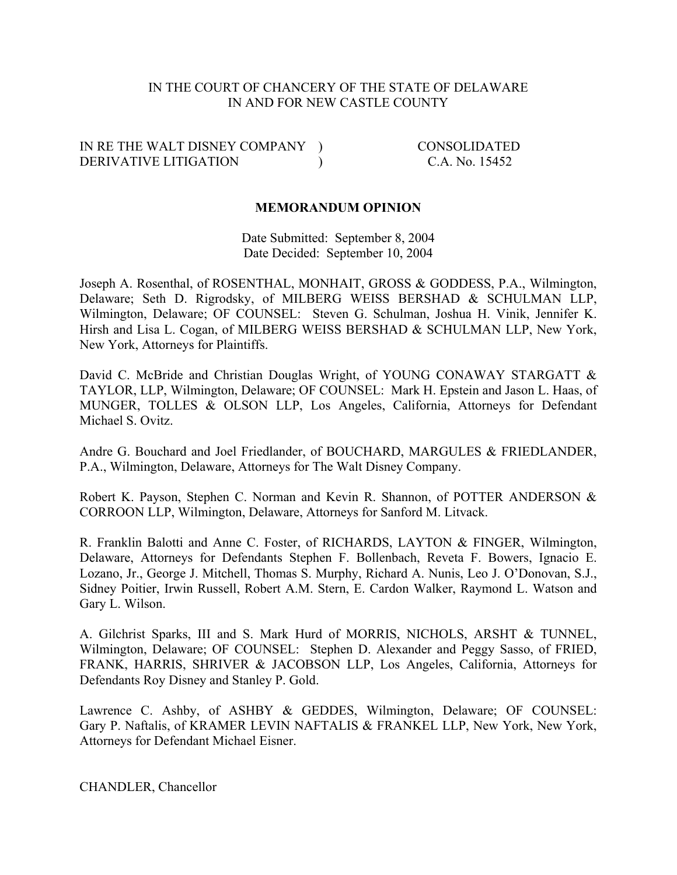#### IN THE COURT OF CHANCERY OF THE STATE OF DELAWARE IN AND FOR NEW CASTLE COUNTY

IN RE THE WALT DISNEY COMPANY ) CONSOLIDATED DERIVATIVE LITIGATION ) C.A. No. 15452

#### **MEMORANDUM OPINION**

Date Submitted: September 8, 2004 Date Decided: September 10, 2004

Joseph A. Rosenthal, of ROSENTHAL, MONHAIT, GROSS & GODDESS, P.A., Wilmington, Delaware; Seth D. Rigrodsky, of MILBERG WEISS BERSHAD & SCHULMAN LLP, Wilmington, Delaware; OF COUNSEL: Steven G. Schulman, Joshua H. Vinik, Jennifer K. Hirsh and Lisa L. Cogan, of MILBERG WEISS BERSHAD & SCHULMAN LLP, New York, New York, Attorneys for Plaintiffs.

David C. McBride and Christian Douglas Wright, of YOUNG CONAWAY STARGATT & TAYLOR, LLP, Wilmington, Delaware; OF COUNSEL: Mark H. Epstein and Jason L. Haas, of MUNGER, TOLLES & OLSON LLP, Los Angeles, California, Attorneys for Defendant Michael S. Ovitz.

Andre G. Bouchard and Joel Friedlander, of BOUCHARD, MARGULES & FRIEDLANDER, P.A., Wilmington, Delaware, Attorneys for The Walt Disney Company.

Robert K. Payson, Stephen C. Norman and Kevin R. Shannon, of POTTER ANDERSON & CORROON LLP, Wilmington, Delaware, Attorneys for Sanford M. Litvack.

R. Franklin Balotti and Anne C. Foster, of RICHARDS, LAYTON & FINGER, Wilmington, Delaware, Attorneys for Defendants Stephen F. Bollenbach, Reveta F. Bowers, Ignacio E. Lozano, Jr., George J. Mitchell, Thomas S. Murphy, Richard A. Nunis, Leo J. O'Donovan, S.J., Sidney Poitier, Irwin Russell, Robert A.M. Stern, E. Cardon Walker, Raymond L. Watson and Gary L. Wilson.

A. Gilchrist Sparks, III and S. Mark Hurd of MORRIS, NICHOLS, ARSHT & TUNNEL, Wilmington, Delaware; OF COUNSEL: Stephen D. Alexander and Peggy Sasso, of FRIED, FRANK, HARRIS, SHRIVER & JACOBSON LLP, Los Angeles, California, Attorneys for Defendants Roy Disney and Stanley P. Gold.

Lawrence C. Ashby, of ASHBY & GEDDES, Wilmington, Delaware; OF COUNSEL: Gary P. Naftalis, of KRAMER LEVIN NAFTALIS & FRANKEL LLP, New York, New York, Attorneys for Defendant Michael Eisner.

CHANDLER, Chancellor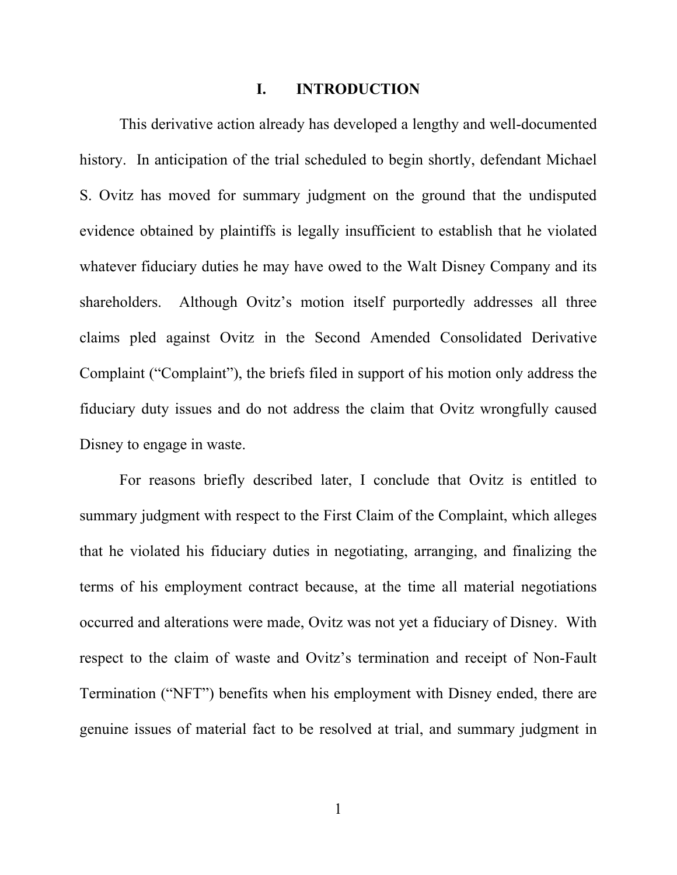#### **I. INTRODUCTION**

This derivative action already has developed a lengthy and well-documented history. In anticipation of the trial scheduled to begin shortly, defendant Michael S. Ovitz has moved for summary judgment on the ground that the undisputed evidence obtained by plaintiffs is legally insufficient to establish that he violated whatever fiduciary duties he may have owed to the Walt Disney Company and its shareholders. Although Ovitz's motion itself purportedly addresses all three claims pled against Ovitz in the Second Amended Consolidated Derivative Complaint ("Complaint"), the briefs filed in support of his motion only address the fiduciary duty issues and do not address the claim that Ovitz wrongfully caused Disney to engage in waste.

For reasons briefly described later, I conclude that Ovitz is entitled to summary judgment with respect to the First Claim of the Complaint, which alleges that he violated his fiduciary duties in negotiating, arranging, and finalizing the terms of his employment contract because, at the time all material negotiations occurred and alterations were made, Ovitz was not yet a fiduciary of Disney. With respect to the claim of waste and Ovitz's termination and receipt of Non-Fault Termination ("NFT") benefits when his employment with Disney ended, there are genuine issues of material fact to be resolved at trial, and summary judgment in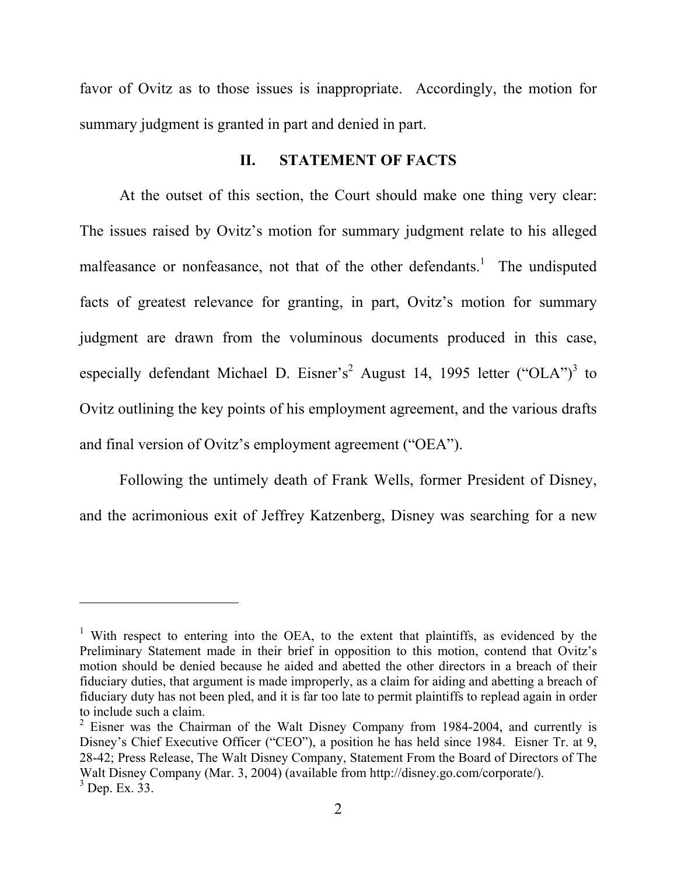favor of Ovitz as to those issues is inappropriate. Accordingly, the motion for summary judgment is granted in part and denied in part.

### **II. STATEMENT OF FACTS**

At the outset of this section, the Court should make one thing very clear: The issues raised by Ovitz's motion for summary judgment relate to his alleged malfeasance or nonfeasance, not that of the other defendants.<sup>1</sup> The undisputed facts of greatest relevance for granting, in part, Ovitz's motion for summary judgment are drawn from the voluminous documents produced in this case, especially defendant Michael D. Eisner's<sup>2</sup> August 14, 1995 letter ("OLA")<sup>3</sup> to Ovitz outlining the key points of his employment agreement, and the various drafts and final version of Ovitz's employment agreement ("OEA").

Following the untimely death of Frank Wells, former President of Disney, and the acrimonious exit of Jeffrey Katzenberg, Disney was searching for a new

<sup>&</sup>lt;sup>1</sup> With respect to entering into the OEA, to the extent that plaintiffs, as evidenced by the Preliminary Statement made in their brief in opposition to this motion, contend that Ovitz's motion should be denied because he aided and abetted the other directors in a breach of their fiduciary duties, that argument is made improperly, as a claim for aiding and abetting a breach of fiduciary duty has not been pled, and it is far too late to permit plaintiffs to replead again in order to include such a claim.

 $2$  Eisner was the Chairman of the Walt Disney Company from 1984-2004, and currently is Disney's Chief Executive Officer ("CEO"), a position he has held since 1984. Eisner Tr. at 9, 28-42; Press Release, The Walt Disney Company, Statement From the Board of Directors of The Walt Disney Company (Mar. 3, 2004) (available from http://disney.go.com/corporate/).  $3^3$  Dep. Ex.  $33$ .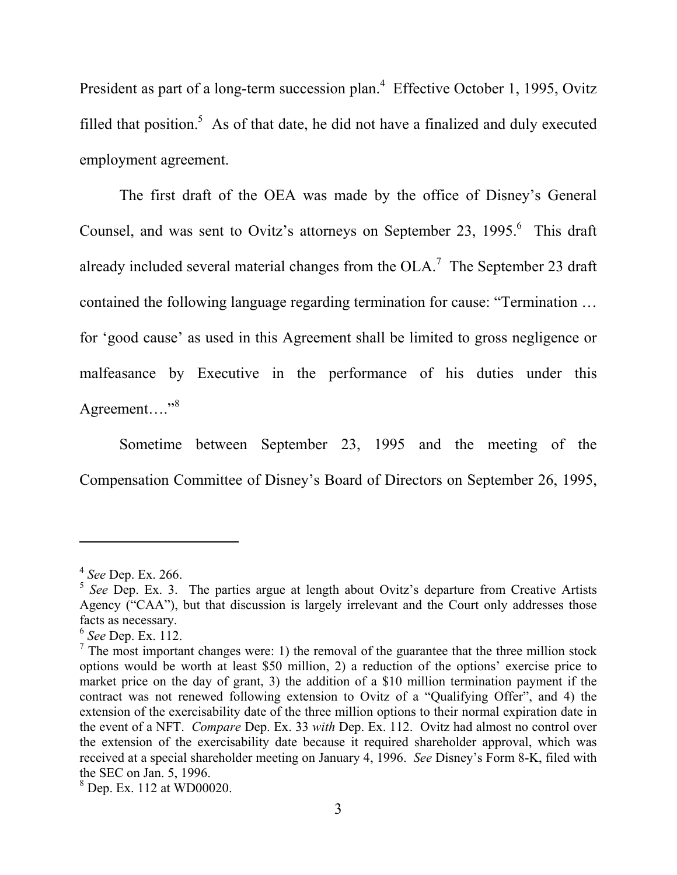President as part of a long-term succession plan.<sup>4</sup> Effective October 1, 1995, Ovitz filled that position.<sup>5</sup> As of that date, he did not have a finalized and duly executed employment agreement.

The first draft of the OEA was made by the office of Disney's General Counsel, and was sent to Ovitz's attorneys on September 23, 1995.<sup>6</sup> This draft already included several material changes from the OLA.<sup>7</sup> The September 23 draft contained the following language regarding termination for cause: "Termination ... for 'good cause' as used in this Agreement shall be limited to gross negligence or malfeasance by Executive in the performance of his duties under this Agreement...."<sup>8</sup>

Sometime between September 23, 1995 and the meeting of the Compensation Committee of Disney's Board of Directors on September 26, 1995,

<sup>4</sup> *See* Dep. Ex. 266.

<sup>&</sup>lt;sup>5</sup> See Dep. Ex. 3. The parties argue at length about Ovitz's departure from Creative Artists Agency ("CAA"), but that discussion is largely irrelevant and the Court only addresses those facts as necessary.

<sup>6</sup> *See* Dep. Ex. 112.

 $<sup>7</sup>$  The most important changes were: 1) the removal of the guarantee that the three million stock</sup> options would be worth at least \$50 million, 2) a reduction of the options' exercise price to market price on the day of grant, 3) the addition of a \$10 million termination payment if the contract was not renewed following extension to Ovitz of a "Qualifying Offer", and 4) the extension of the exercisability date of the three million options to their normal expiration date in the event of a NFT. *Compare* Dep. Ex. 33 *with* Dep. Ex. 112. Ovitz had almost no control over the extension of the exercisability date because it required shareholder approval, which was received at a special shareholder meeting on January 4, 1996. *See* Disney's Form 8-K, filed with the SEC on Jan. 5, 1996.

<sup>8</sup> Dep. Ex. 112 at WD00020.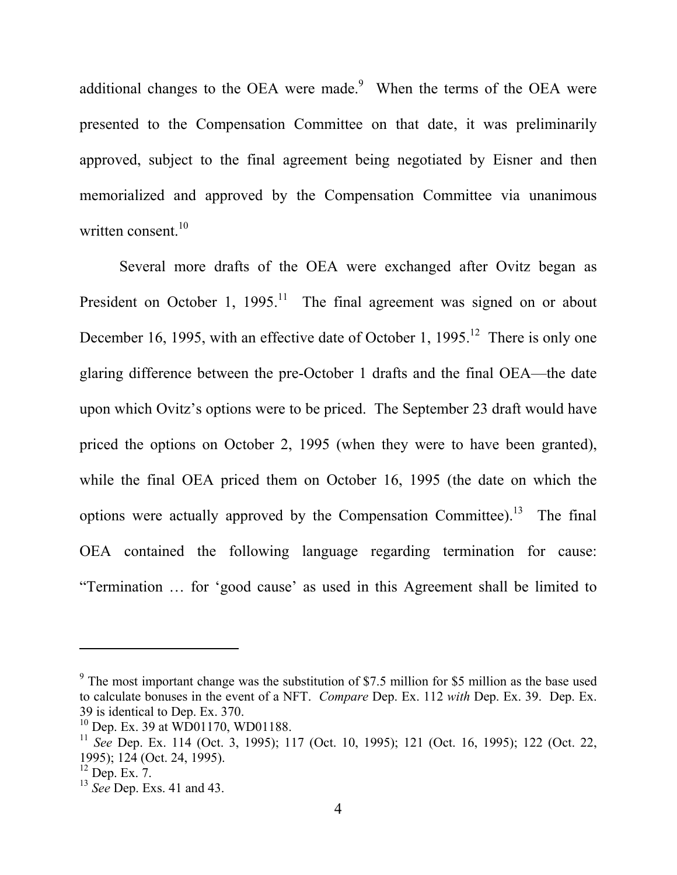additional changes to the OEA were made. $9$  When the terms of the OEA were presented to the Compensation Committee on that date, it was preliminarily approved, subject to the final agreement being negotiated by Eisner and then memorialized and approved by the Compensation Committee via unanimous written consent. $10$ 

Several more drafts of the OEA were exchanged after Ovitz began as President on October 1,  $1995$ .<sup>11</sup> The final agreement was signed on or about December 16, 1995, with an effective date of October 1, 1995.<sup>12</sup> There is only one glaring difference between the pre-October 1 drafts and the final OEA—the date upon which Ovitz's options were to be priced. The September 23 draft would have priced the options on October 2, 1995 (when they were to have been granted), while the final OEA priced them on October 16, 1995 (the date on which the options were actually approved by the Compensation Committee).<sup>13</sup> The final OEA contained the following language regarding termination for cause: "Termination … for 'good cause' as used in this Agreement shall be limited to

 $9$  The most important change was the substitution of \$7.5 million for \$5 million as the base used to calculate bonuses in the event of a NFT. *Compare* Dep. Ex. 112 *with* Dep. Ex. 39. Dep. Ex. 39 is identical to Dep. Ex. 370.

<sup>&</sup>lt;sup>10</sup> Dep. Ex. 39 at WD01170, WD01188.

<sup>11</sup> *See* Dep. Ex. 114 (Oct. 3, 1995); 117 (Oct. 10, 1995); 121 (Oct. 16, 1995); 122 (Oct. 22, 1995); 124 (Oct. 24, 1995).

 $12$  Dep. Ex. 7.

<sup>13</sup> *See* Dep. Exs. 41 and 43.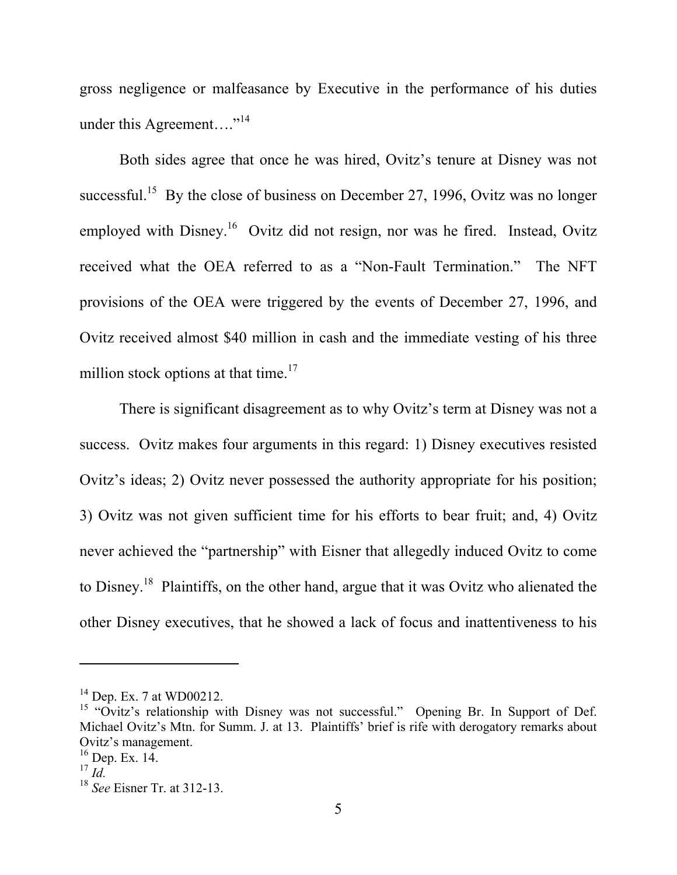gross negligence or malfeasance by Executive in the performance of his duties under this Agreement...."<sup>14</sup>

Both sides agree that once he was hired, Ovitz's tenure at Disney was not successful.<sup>15</sup> By the close of business on December 27, 1996, Ovitz was no longer employed with  $Disney$ .<sup>16</sup> Ovitz did not resign, nor was he fired. Instead, Ovitz received what the OEA referred to as a "Non-Fault Termination." The NFT provisions of the OEA were triggered by the events of December 27, 1996, and Ovitz received almost \$40 million in cash and the immediate vesting of his three million stock options at that time. $17$ 

 There is significant disagreement as to why Ovitz's term at Disney was not a success. Ovitz makes four arguments in this regard: 1) Disney executives resisted Ovitz's ideas; 2) Ovitz never possessed the authority appropriate for his position; 3) Ovitz was not given sufficient time for his efforts to bear fruit; and, 4) Ovitz never achieved the "partnership" with Eisner that allegedly induced Ovitz to come to Disney.18 Plaintiffs, on the other hand, argue that it was Ovitz who alienated the other Disney executives, that he showed a lack of focus and inattentiveness to his

 $14$  Dep. Ex. 7 at WD00212.

<sup>&</sup>lt;sup>15</sup> "Ovitz's relationship with Disney was not successful." Opening Br. In Support of Def. Michael Ovitz's Mtn. for Summ. J. at 13. Plaintiffs' brief is rife with derogatory remarks about Ovitz's management.

 $16$  Dep. Ex. 14.

<sup>17</sup> *Id.*

<sup>18</sup> *See* Eisner Tr. at 312-13.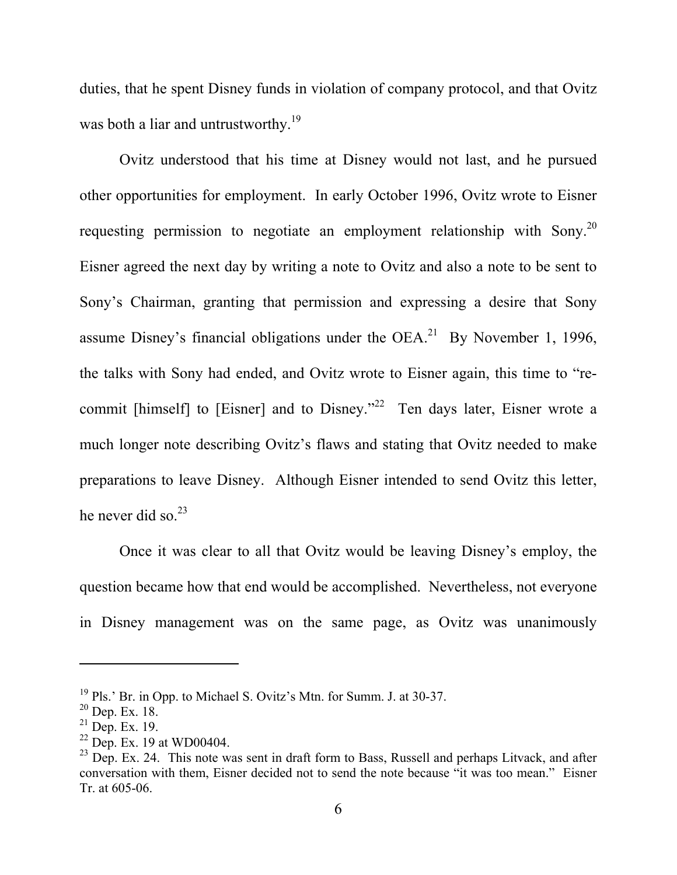duties, that he spent Disney funds in violation of company protocol, and that Ovitz was both a liar and untrustworthy.<sup>19</sup>

 Ovitz understood that his time at Disney would not last, and he pursued other opportunities for employment. In early October 1996, Ovitz wrote to Eisner requesting permission to negotiate an employment relationship with Sony.<sup>20</sup> Eisner agreed the next day by writing a note to Ovitz and also a note to be sent to Sony's Chairman, granting that permission and expressing a desire that Sony assume Disney's financial obligations under the  $OEA$ <sup>21</sup> By November 1, 1996, the talks with Sony had ended, and Ovitz wrote to Eisner again, this time to "recommit [himself] to [Eisner] and to Disney."<sup>22</sup> Ten days later, Eisner wrote a much longer note describing Ovitz's flaws and stating that Ovitz needed to make preparations to leave Disney. Although Eisner intended to send Ovitz this letter, he never did so. $^{23}$ 

 Once it was clear to all that Ovitz would be leaving Disney's employ, the question became how that end would be accomplished. Nevertheless, not everyone in Disney management was on the same page, as Ovitz was unanimously

<sup>19</sup> Pls.' Br. in Opp. to Michael S. Ovitz's Mtn. for Summ. J. at 30-37.

 $20$  Dep. Ex. 18.

 $21$  Dep. Ex. 19.

 $22$  Dep. Ex. 19 at WD00404.

 $^{23}$  Dep. Ex. 24. This note was sent in draft form to Bass, Russell and perhaps Litvack, and after conversation with them, Eisner decided not to send the note because "it was too mean." Eisner Tr. at 605-06.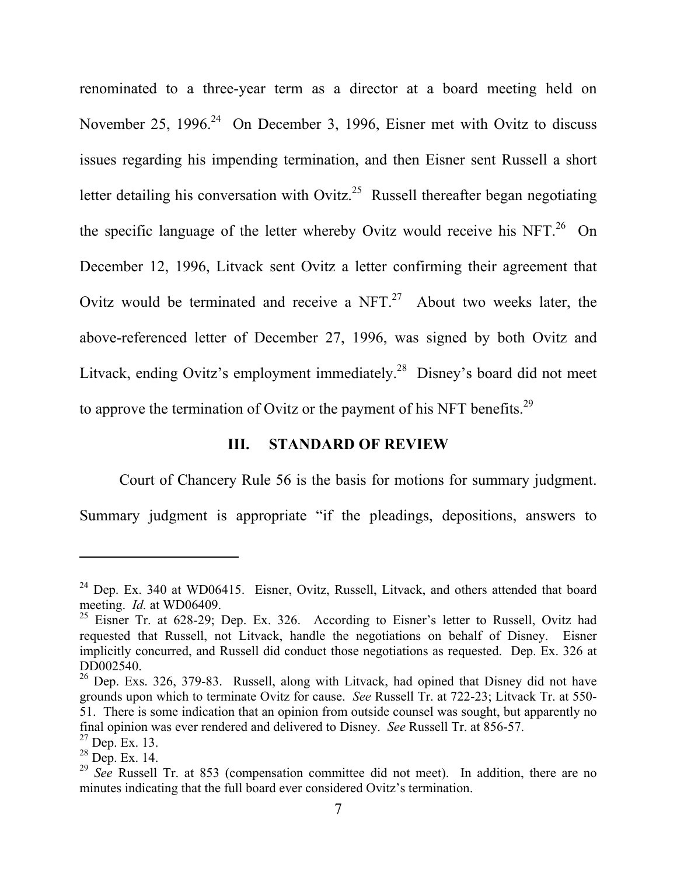renominated to a three-year term as a director at a board meeting held on November 25, 1996. $24$  On December 3, 1996, Eisner met with Ovitz to discuss issues regarding his impending termination, and then Eisner sent Russell a short letter detailing his conversation with Ovitz.<sup>25</sup> Russell thereafter began negotiating the specific language of the letter whereby Ovitz would receive his NFT.<sup>26</sup> On December 12, 1996, Litvack sent Ovitz a letter confirming their agreement that Ovitz would be terminated and receive a  $NFT<sup>27</sup>$  About two weeks later, the above-referenced letter of December 27, 1996, was signed by both Ovitz and Litvack, ending Ovitz's employment immediately.<sup>28</sup> Disney's board did not meet to approve the termination of Ovitz or the payment of his NFT benefits.<sup>29</sup>

### **III. STANDARD OF REVIEW**

Court of Chancery Rule 56 is the basis for motions for summary judgment.

Summary judgment is appropriate "if the pleadings, depositions, answers to

<sup>24</sup> Dep. Ex. 340 at WD06415. Eisner, Ovitz, Russell, Litvack, and others attended that board meeting. *Id.* at WD06409.

<sup>&</sup>lt;sup>25</sup> Eisner Tr. at 628-29; Dep. Ex. 326. According to Eisner's letter to Russell, Ovitz had requested that Russell, not Litvack, handle the negotiations on behalf of Disney. Eisner implicitly concurred, and Russell did conduct those negotiations as requested. Dep. Ex. 326 at DD002540.

 $26$  Dep. Exs. 326, 379-83. Russell, along with Litvack, had opined that Disney did not have grounds upon which to terminate Ovitz for cause. *See* Russell Tr. at 722-23; Litvack Tr. at 550- 51. There is some indication that an opinion from outside counsel was sought, but apparently no final opinion was ever rendered and delivered to Disney. *See* Russell Tr. at 856-57.

<sup>27</sup> Dep. Ex. 13.

<sup>28</sup> Dep. Ex. 14.

<sup>&</sup>lt;sup>29</sup> See Russell Tr. at 853 (compensation committee did not meet). In addition, there are no minutes indicating that the full board ever considered Ovitz's termination.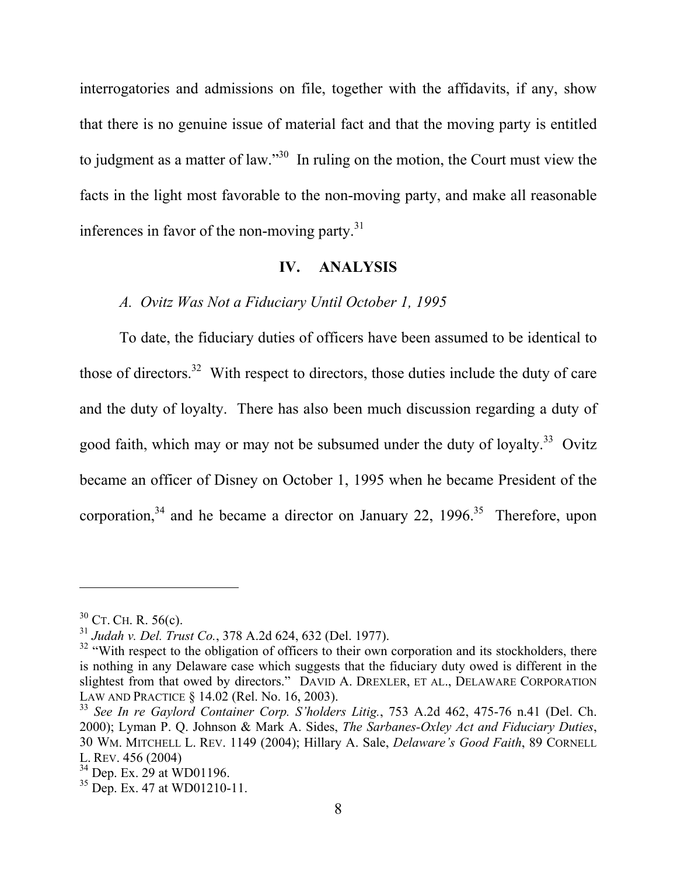interrogatories and admissions on file, together with the affidavits, if any, show that there is no genuine issue of material fact and that the moving party is entitled to judgment as a matter of law."30 In ruling on the motion, the Court must view the facts in the light most favorable to the non-moving party, and make all reasonable inferences in favor of the non-moving party. $31$ 

#### **IV. ANALYSIS**

# *A. Ovitz Was Not a Fiduciary Until October 1, 1995*

To date, the fiduciary duties of officers have been assumed to be identical to those of directors.<sup>32</sup> With respect to directors, those duties include the duty of care and the duty of loyalty. There has also been much discussion regarding a duty of good faith, which may or may not be subsumed under the duty of loyalty.<sup>33</sup> Ovitz became an officer of Disney on October 1, 1995 when he became President of the corporation,  $34$  and he became a director on January 22, 1996.<sup>35</sup> Therefore, upon

 $30$  CT. CH. R. 56(c).

<sup>31</sup> *Judah v. Del. Trust Co.*, 378 A.2d 624, 632 (Del. 1977).

<sup>&</sup>lt;sup>32</sup> "With respect to the obligation of officers to their own corporation and its stockholders, there is nothing in any Delaware case which suggests that the fiduciary duty owed is different in the slightest from that owed by directors." DAVID A. DREXLER, ET AL., DELAWARE CORPORATION LAW AND PRACTICE § 14.02 (Rel. No. 16, 2003).

<sup>33</sup> *See In re Gaylord Container Corp. S'holders Litig.*, 753 A.2d 462, 475-76 n.41 (Del. Ch. 2000); Lyman P. Q. Johnson & Mark A. Sides, *The Sarbanes-Oxley Act and Fiduciary Duties*, 30 WM. MITCHELL L. REV. 1149 (2004); Hillary A. Sale, *Delaware's Good Faith*, 89 CORNELL L. REV. 456 (2004)

 $34$  Dep. Ex. 29 at WD01196.

 $35$  Dep. Ex. 47 at WD01210-11.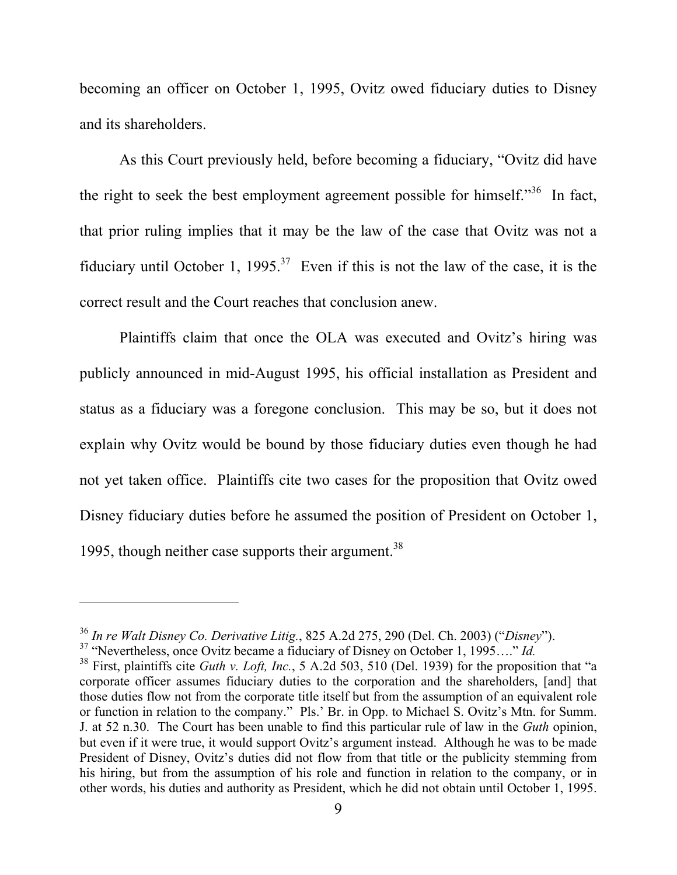becoming an officer on October 1, 1995, Ovitz owed fiduciary duties to Disney and its shareholders.

As this Court previously held, before becoming a fiduciary, "Ovitz did have the right to seek the best employment agreement possible for himself."<sup>36</sup> In fact, that prior ruling implies that it may be the law of the case that Ovitz was not a fiduciary until October 1, 1995.<sup>37</sup> Even if this is not the law of the case, it is the correct result and the Court reaches that conclusion anew.

 Plaintiffs claim that once the OLA was executed and Ovitz's hiring was publicly announced in mid-August 1995, his official installation as President and status as a fiduciary was a foregone conclusion. This may be so, but it does not explain why Ovitz would be bound by those fiduciary duties even though he had not yet taken office. Plaintiffs cite two cases for the proposition that Ovitz owed Disney fiduciary duties before he assumed the position of President on October 1, 1995, though neither case supports their argument.<sup>38</sup>

l

<sup>36</sup> *In re Walt Disney Co. Derivative Litig.*, 825 A.2d 275, 290 (Del. Ch. 2003) ("*Disney*").

<sup>37 &</sup>quot;Nevertheless, once Ovitz became a fiduciary of Disney on October 1, 1995…." *Id.*

<sup>38</sup> First, plaintiffs cite *Guth v. Loft, Inc.*, 5 A.2d 503, 510 (Del. 1939) for the proposition that "a corporate officer assumes fiduciary duties to the corporation and the shareholders, [and] that those duties flow not from the corporate title itself but from the assumption of an equivalent role or function in relation to the company." Pls.' Br. in Opp. to Michael S. Ovitz's Mtn. for Summ. J. at 52 n.30. The Court has been unable to find this particular rule of law in the *Guth* opinion, but even if it were true, it would support Ovitz's argument instead. Although he was to be made President of Disney, Ovitz's duties did not flow from that title or the publicity stemming from his hiring, but from the assumption of his role and function in relation to the company, or in other words, his duties and authority as President, which he did not obtain until October 1, 1995.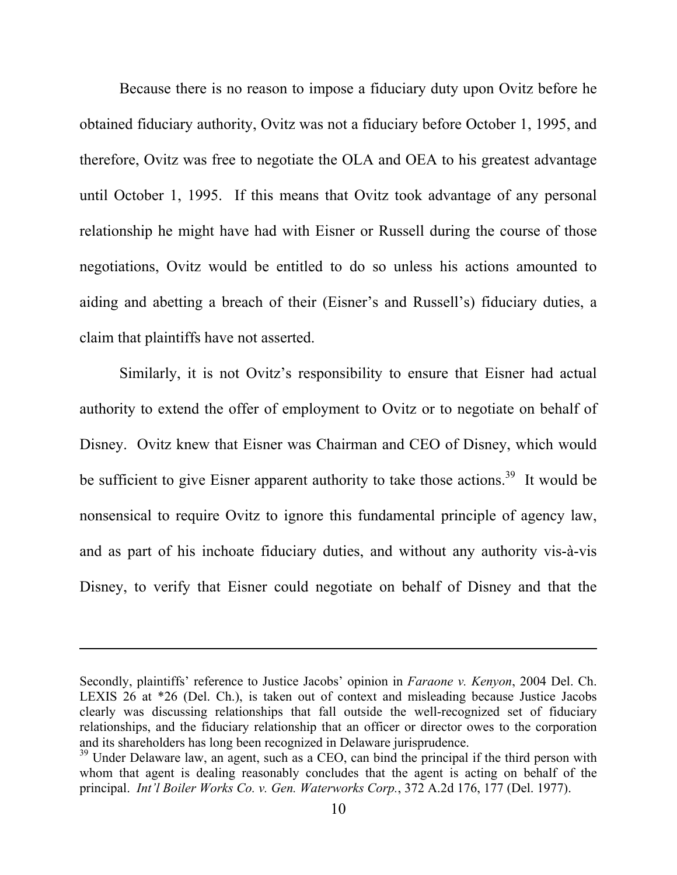Because there is no reason to impose a fiduciary duty upon Ovitz before he obtained fiduciary authority, Ovitz was not a fiduciary before October 1, 1995, and therefore, Ovitz was free to negotiate the OLA and OEA to his greatest advantage until October 1, 1995. If this means that Ovitz took advantage of any personal relationship he might have had with Eisner or Russell during the course of those negotiations, Ovitz would be entitled to do so unless his actions amounted to aiding and abetting a breach of their (Eisner's and Russell's) fiduciary duties, a claim that plaintiffs have not asserted.

Similarly, it is not Ovitz's responsibility to ensure that Eisner had actual authority to extend the offer of employment to Ovitz or to negotiate on behalf of Disney. Ovitz knew that Eisner was Chairman and CEO of Disney, which would be sufficient to give Eisner apparent authority to take those actions.<sup>39</sup> It would be nonsensical to require Ovitz to ignore this fundamental principle of agency law, and as part of his inchoate fiduciary duties, and without any authority vis-à-vis Disney, to verify that Eisner could negotiate on behalf of Disney and that the

Secondly, plaintiffs' reference to Justice Jacobs' opinion in *Faraone v. Kenyon*, 2004 Del. Ch. LEXIS 26 at \*26 (Del. Ch.), is taken out of context and misleading because Justice Jacobs clearly was discussing relationships that fall outside the well-recognized set of fiduciary relationships, and the fiduciary relationship that an officer or director owes to the corporation and its shareholders has long been recognized in Delaware jurisprudence.

 $39$  Under Delaware law, an agent, such as a CEO, can bind the principal if the third person with whom that agent is dealing reasonably concludes that the agent is acting on behalf of the principal. *Int'l Boiler Works Co. v. Gen. Waterworks Corp.*, 372 A.2d 176, 177 (Del. 1977).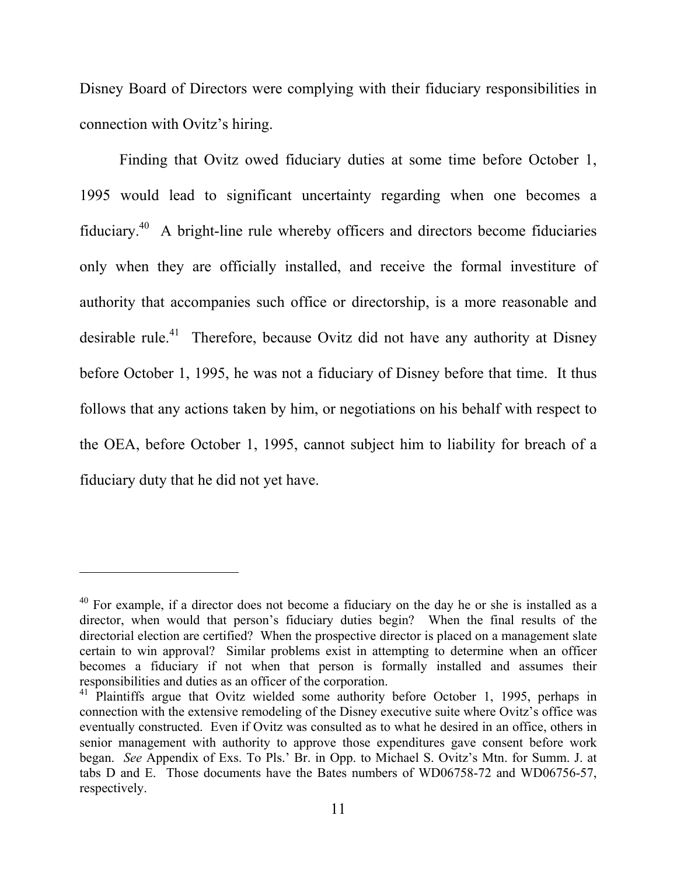Disney Board of Directors were complying with their fiduciary responsibilities in connection with Ovitz's hiring.

Finding that Ovitz owed fiduciary duties at some time before October 1, 1995 would lead to significant uncertainty regarding when one becomes a fiduciary. $40$  A bright-line rule whereby officers and directors become fiduciaries only when they are officially installed, and receive the formal investiture of authority that accompanies such office or directorship, is a more reasonable and desirable rule.<sup>41</sup> Therefore, because Ovitz did not have any authority at Disney before October 1, 1995, he was not a fiduciary of Disney before that time. It thus follows that any actions taken by him, or negotiations on his behalf with respect to the OEA, before October 1, 1995, cannot subject him to liability for breach of a fiduciary duty that he did not yet have.

 $40$  For example, if a director does not become a fiduciary on the day he or she is installed as a director, when would that person's fiduciary duties begin? When the final results of the directorial election are certified? When the prospective director is placed on a management slate certain to win approval? Similar problems exist in attempting to determine when an officer becomes a fiduciary if not when that person is formally installed and assumes their responsibilities and duties as an officer of the corporation.

 $41$  Plaintiffs argue that Ovitz wielded some authority before October 1, 1995, perhaps in connection with the extensive remodeling of the Disney executive suite where Ovitz's office was eventually constructed. Even if Ovitz was consulted as to what he desired in an office, others in senior management with authority to approve those expenditures gave consent before work began. *See* Appendix of Exs. To Pls.' Br. in Opp. to Michael S. Ovitz's Mtn. for Summ. J. at tabs D and E. Those documents have the Bates numbers of WD06758-72 and WD06756-57, respectively.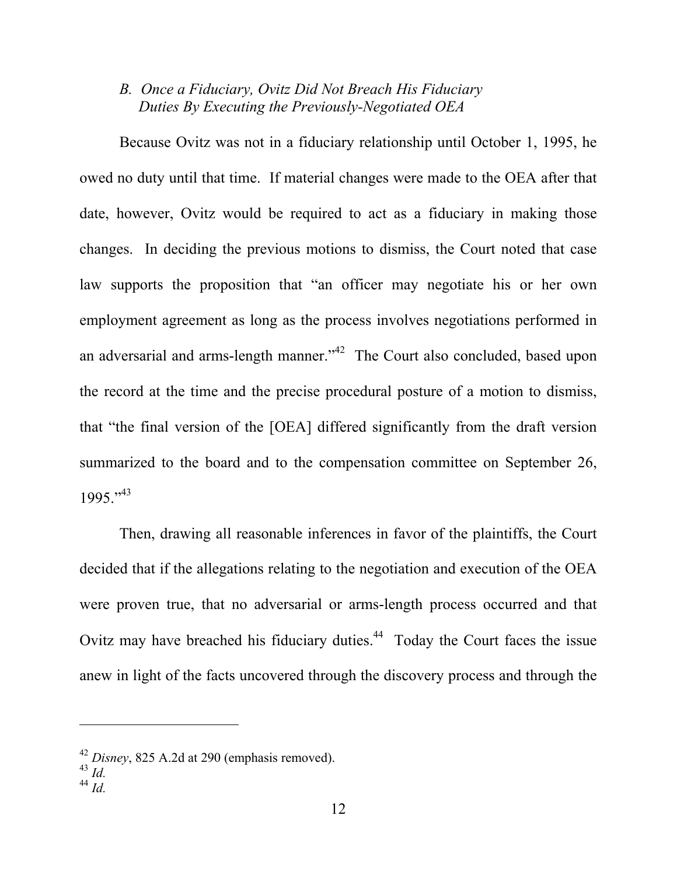## *B. Once a Fiduciary, Ovitz Did Not Breach His Fiduciary Duties By Executing the Previously-Negotiated OEA*

Because Ovitz was not in a fiduciary relationship until October 1, 1995, he owed no duty until that time. If material changes were made to the OEA after that date, however, Ovitz would be required to act as a fiduciary in making those changes. In deciding the previous motions to dismiss, the Court noted that case law supports the proposition that "an officer may negotiate his or her own employment agreement as long as the process involves negotiations performed in an adversarial and arms-length manner."<sup>42</sup> The Court also concluded, based upon the record at the time and the precise procedural posture of a motion to dismiss, that "the final version of the [OEA] differed significantly from the draft version summarized to the board and to the compensation committee on September 26,  $1995 \cdot 43$ 

Then, drawing all reasonable inferences in favor of the plaintiffs, the Court decided that if the allegations relating to the negotiation and execution of the OEA were proven true, that no adversarial or arms-length process occurred and that Ovitz may have breached his fiduciary duties. $44$  Today the Court faces the issue anew in light of the facts uncovered through the discovery process and through the

<sup>42</sup> *Disney*, 825 A.2d at 290 (emphasis removed).

<sup>43</sup> *Id.*

<sup>44</sup> *Id.*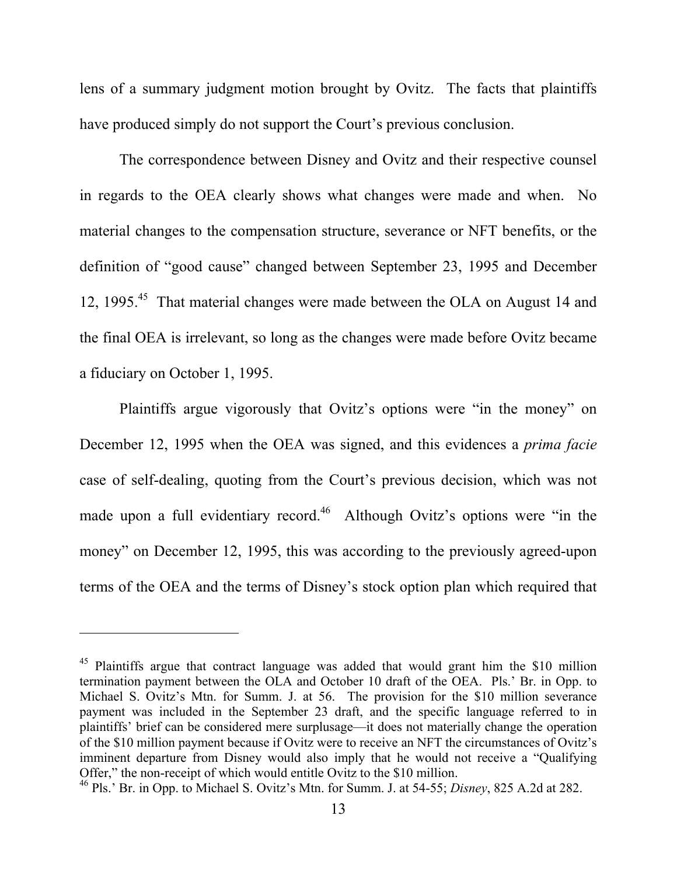lens of a summary judgment motion brought by Ovitz. The facts that plaintiffs have produced simply do not support the Court's previous conclusion.

The correspondence between Disney and Ovitz and their respective counsel in regards to the OEA clearly shows what changes were made and when. No material changes to the compensation structure, severance or NFT benefits, or the definition of "good cause" changed between September 23, 1995 and December 12, 1995.<sup>45</sup> That material changes were made between the OLA on August 14 and the final OEA is irrelevant, so long as the changes were made before Ovitz became a fiduciary on October 1, 1995.

Plaintiffs argue vigorously that Ovitz's options were "in the money" on December 12, 1995 when the OEA was signed, and this evidences a *prima facie* case of self-dealing, quoting from the Court's previous decision, which was not made upon a full evidentiary record.<sup>46</sup> Although Ovitz's options were "in the money" on December 12, 1995, this was according to the previously agreed-upon terms of the OEA and the terms of Disney's stock option plan which required that

<sup>&</sup>lt;sup>45</sup> Plaintiffs argue that contract language was added that would grant him the \$10 million termination payment between the OLA and October 10 draft of the OEA. Pls.' Br. in Opp. to Michael S. Ovitz's Mtn. for Summ. J. at 56. The provision for the \$10 million severance payment was included in the September 23 draft, and the specific language referred to in plaintiffs' brief can be considered mere surplusage—it does not materially change the operation of the \$10 million payment because if Ovitz were to receive an NFT the circumstances of Ovitz's imminent departure from Disney would also imply that he would not receive a "Qualifying Offer," the non-receipt of which would entitle Ovitz to the \$10 million.

<sup>46</sup> Pls.' Br. in Opp. to Michael S. Ovitz's Mtn. for Summ. J. at 54-55; *Disney*, 825 A.2d at 282.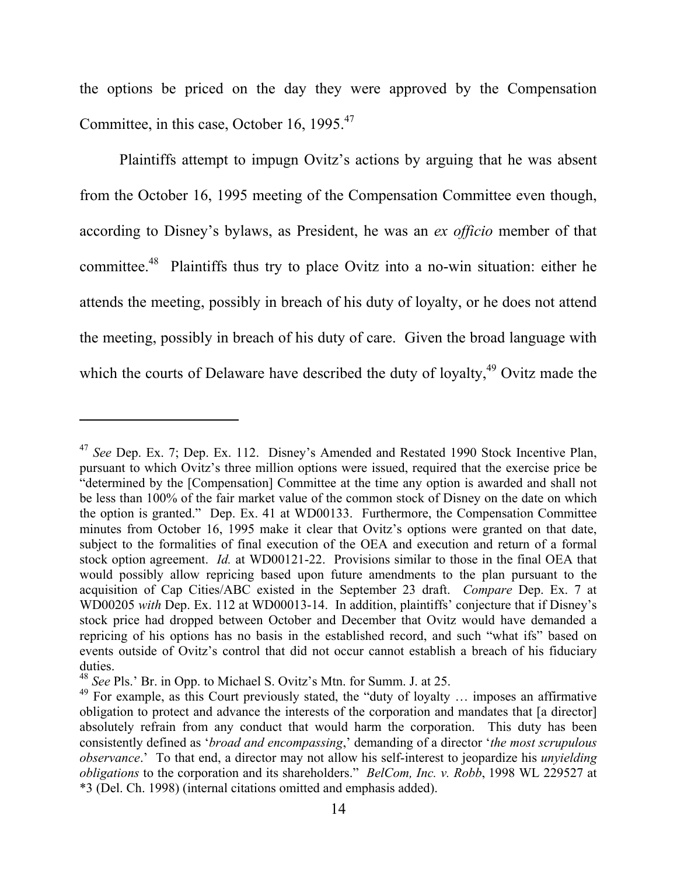the options be priced on the day they were approved by the Compensation Committee, in this case, October 16, 1995.<sup>47</sup>

Plaintiffs attempt to impugn Ovitz's actions by arguing that he was absent from the October 16, 1995 meeting of the Compensation Committee even though, according to Disney's bylaws, as President, he was an *ex officio* member of that committee.<sup>48</sup> Plaintiffs thus try to place Ovitz into a no-win situation: either he attends the meeting, possibly in breach of his duty of loyalty, or he does not attend the meeting, possibly in breach of his duty of care. Given the broad language with which the courts of Delaware have described the duty of loyalty, $49$  Ovitz made the

<sup>47</sup> *See* Dep. Ex. 7; Dep. Ex. 112. Disney's Amended and Restated 1990 Stock Incentive Plan, pursuant to which Ovitz's three million options were issued, required that the exercise price be "determined by the [Compensation] Committee at the time any option is awarded and shall not be less than 100% of the fair market value of the common stock of Disney on the date on which the option is granted." Dep. Ex. 41 at WD00133. Furthermore, the Compensation Committee minutes from October 16, 1995 make it clear that Ovitz's options were granted on that date, subject to the formalities of final execution of the OEA and execution and return of a formal stock option agreement. *Id.* at WD00121-22. Provisions similar to those in the final OEA that would possibly allow repricing based upon future amendments to the plan pursuant to the acquisition of Cap Cities/ABC existed in the September 23 draft. *Compare* Dep. Ex. 7 at WD00205 *with* Dep. Ex. 112 at WD00013-14. In addition, plaintiffs' conjecture that if Disney's stock price had dropped between October and December that Ovitz would have demanded a repricing of his options has no basis in the established record, and such "what ifs" based on events outside of Ovitz's control that did not occur cannot establish a breach of his fiduciary duties.

<sup>48</sup> *See* Pls.' Br. in Opp. to Michael S. Ovitz's Mtn. for Summ. J. at 25.

 $49$  For example, as this Court previously stated, the "duty of loyalty ... imposes an affirmative obligation to protect and advance the interests of the corporation and mandates that [a director] absolutely refrain from any conduct that would harm the corporation. This duty has been consistently defined as '*broad and encompassing*,' demanding of a director '*the most scrupulous observance*.' To that end, a director may not allow his self-interest to jeopardize his *unyielding obligations* to the corporation and its shareholders." *BelCom, Inc. v. Robb*, 1998 WL 229527 at \*3 (Del. Ch. 1998) (internal citations omitted and emphasis added).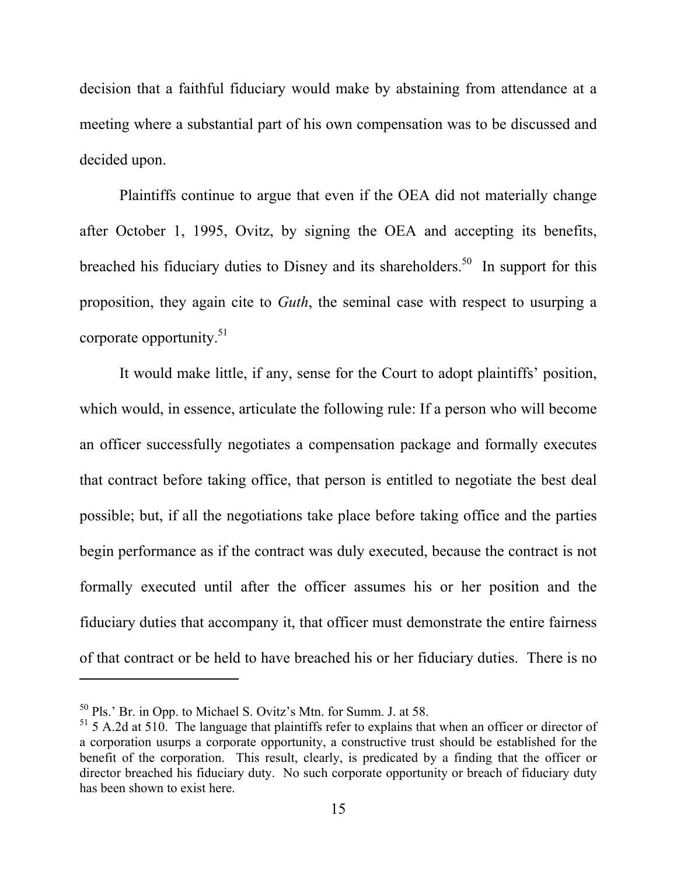decision that a faithful fiduciary would make by abstaining from attendance at a meeting where a substantial part of his own compensation was to be discussed and decided upon.

Plaintiffs continue to argue that even if the OEA did not materially change after October 1, 1995, Ovitz, by signing the OEA and accepting its benefits, breached his fiduciary duties to Disney and its shareholders.<sup>50</sup> In support for this proposition, they again cite to *Guth*, the seminal case with respect to usurping a corporate opportunity. $51$ 

It would make little, if any, sense for the Court to adopt plaintiffs' position, which would, in essence, articulate the following rule: If a person who will become an officer successfully negotiates a compensation package and formally executes that contract before taking office, that person is entitled to negotiate the best deal possible; but, if all the negotiations take place before taking office and the parties begin performance as if the contract was duly executed, because the contract is not formally executed until after the officer assumes his or her position and the fiduciary duties that accompany it, that officer must demonstrate the entire fairness of that contract or be held to have breached his or her fiduciary duties. There is no

 $50$  Pls.' Br. in Opp. to Michael S. Ovitz's Mtn. for Summ. J. at 58.

 $51$  5 A.2d at 510. The language that plaintiffs refer to explains that when an officer or director of a corporation usurps a corporate opportunity, a constructive trust should be established for the benefit of the corporation. This result, clearly, is predicated by a finding that the officer or director breached his fiduciary duty. No such corporate opportunity or breach of fiduciary duty has been shown to exist here.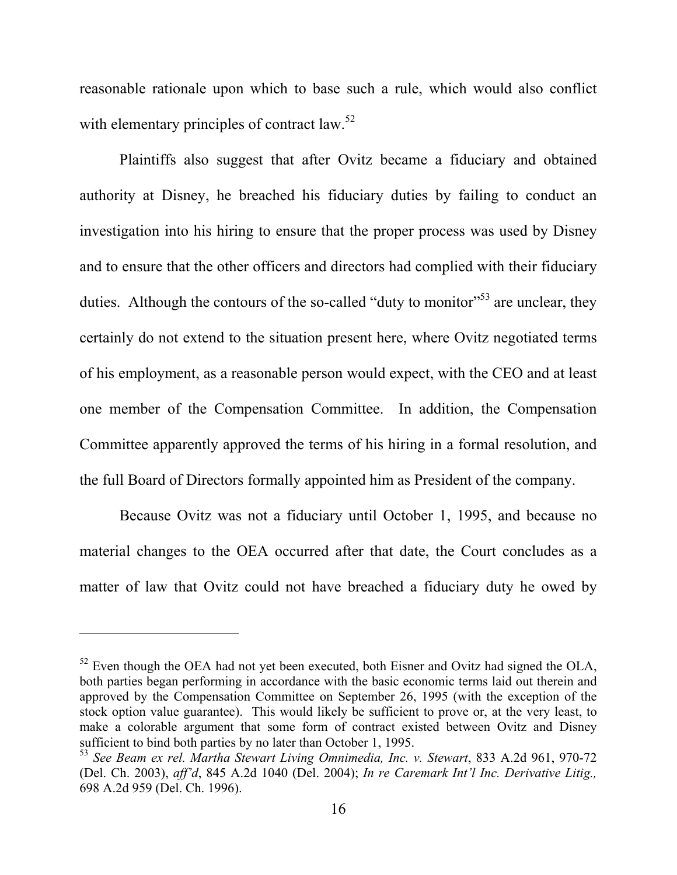reasonable rationale upon which to base such a rule, which would also conflict with elementary principles of contract law. $52$ 

Plaintiffs also suggest that after Ovitz became a fiduciary and obtained authority at Disney, he breached his fiduciary duties by failing to conduct an investigation into his hiring to ensure that the proper process was used by Disney and to ensure that the other officers and directors had complied with their fiduciary duties. Although the contours of the so-called "duty to monitor"<sup>53</sup> are unclear, they certainly do not extend to the situation present here, where Ovitz negotiated terms of his employment, as a reasonable person would expect, with the CEO and at least one member of the Compensation Committee. In addition, the Compensation Committee apparently approved the terms of his hiring in a formal resolution, and the full Board of Directors formally appointed him as President of the company.

Because Ovitz was not a fiduciary until October 1, 1995, and because no material changes to the OEA occurred after that date, the Court concludes as a matter of law that Ovitz could not have breached a fiduciary duty he owed by

<sup>&</sup>lt;sup>52</sup> Even though the OEA had not yet been executed, both Eisner and Ovitz had signed the OLA, both parties began performing in accordance with the basic economic terms laid out therein and approved by the Compensation Committee on September 26, 1995 (with the exception of the stock option value guarantee). This would likely be sufficient to prove or, at the very least, to make a colorable argument that some form of contract existed between Ovitz and Disney sufficient to bind both parties by no later than October 1, 1995.

<sup>53</sup> *See Beam ex rel. Martha Stewart Living Omnimedia, Inc. v. Stewart*, 833 A.2d 961, 970-72 (Del. Ch. 2003), *aff'd*, 845 A.2d 1040 (Del. 2004); *In re Caremark Int'l Inc. Derivative Litig.,* 698 A.2d 959 (Del. Ch. 1996).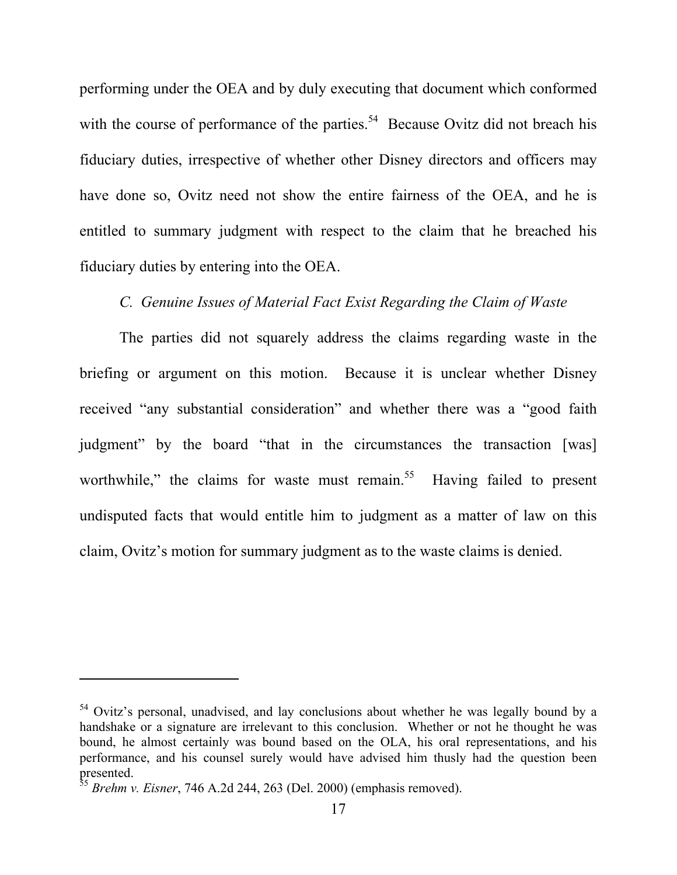performing under the OEA and by duly executing that document which conformed with the course of performance of the parties.<sup>54</sup> Because Ovitz did not breach his fiduciary duties, irrespective of whether other Disney directors and officers may have done so, Ovitz need not show the entire fairness of the OEA, and he is entitled to summary judgment with respect to the claim that he breached his fiduciary duties by entering into the OEA.

## *C. Genuine Issues of Material Fact Exist Regarding the Claim of Waste*

The parties did not squarely address the claims regarding waste in the briefing or argument on this motion. Because it is unclear whether Disney received "any substantial consideration" and whether there was a "good faith judgment" by the board "that in the circumstances the transaction [was] worthwhile," the claims for waste must remain.<sup>55</sup> Having failed to present undisputed facts that would entitle him to judgment as a matter of law on this claim, Ovitz's motion for summary judgment as to the waste claims is denied.

<sup>&</sup>lt;sup>54</sup> Ovitz's personal, unadvised, and lay conclusions about whether he was legally bound by a handshake or a signature are irrelevant to this conclusion. Whether or not he thought he was bound, he almost certainly was bound based on the OLA, his oral representations, and his performance, and his counsel surely would have advised him thusly had the question been presented.

<sup>55</sup> *Brehm v. Eisner*, 746 A.2d 244, 263 (Del. 2000) (emphasis removed).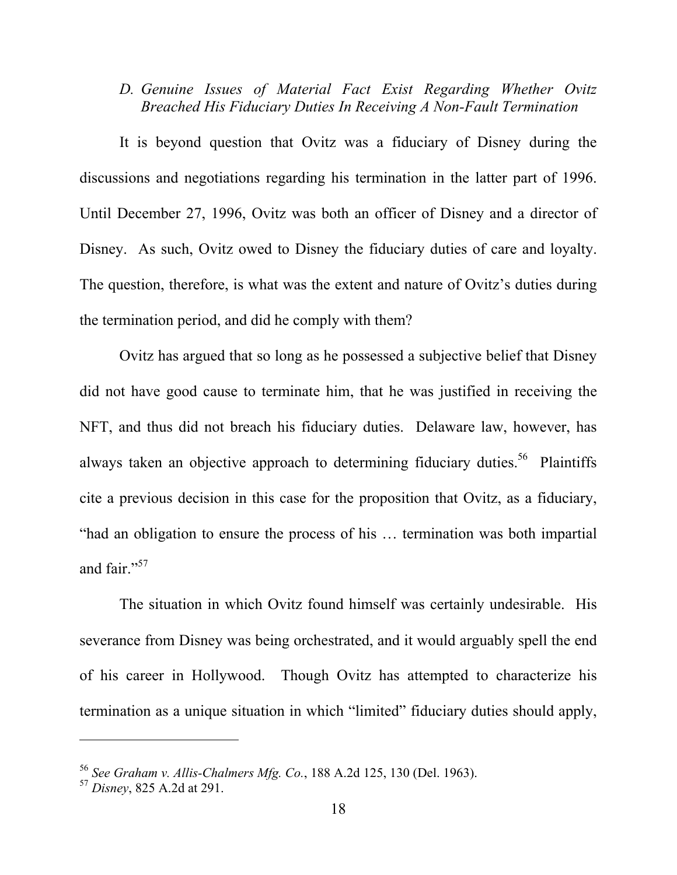# *D. Genuine Issues of Material Fact Exist Regarding Whether Ovitz Breached His Fiduciary Duties In Receiving A Non-Fault Termination*

It is beyond question that Ovitz was a fiduciary of Disney during the discussions and negotiations regarding his termination in the latter part of 1996. Until December 27, 1996, Ovitz was both an officer of Disney and a director of Disney. As such, Ovitz owed to Disney the fiduciary duties of care and loyalty. The question, therefore, is what was the extent and nature of Ovitz's duties during the termination period, and did he comply with them?

Ovitz has argued that so long as he possessed a subjective belief that Disney did not have good cause to terminate him, that he was justified in receiving the NFT, and thus did not breach his fiduciary duties. Delaware law, however, has always taken an objective approach to determining fiduciary duties.<sup>56</sup> Plaintiffs cite a previous decision in this case for the proposition that Ovitz, as a fiduciary, "had an obligation to ensure the process of his … termination was both impartial and fair."<sup>57</sup>

The situation in which Ovitz found himself was certainly undesirable. His severance from Disney was being orchestrated, and it would arguably spell the end of his career in Hollywood. Though Ovitz has attempted to characterize his termination as a unique situation in which "limited" fiduciary duties should apply,

<sup>56</sup> *See Graham v. Allis-Chalmers Mfg. Co.*, 188 A.2d 125, 130 (Del. 1963).

<sup>57</sup> *Disney*, 825 A.2d at 291.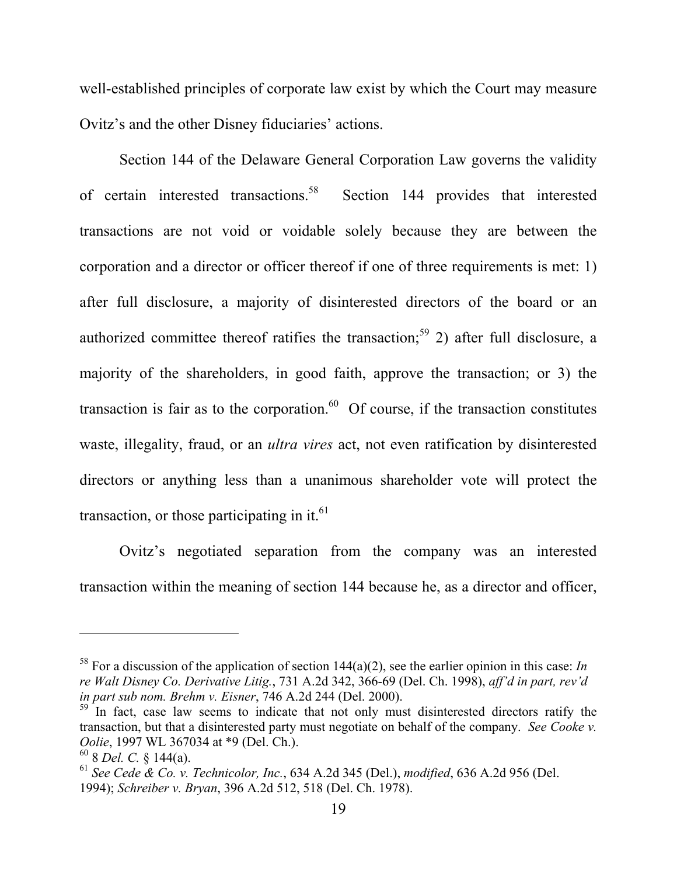well-established principles of corporate law exist by which the Court may measure Ovitz's and the other Disney fiduciaries' actions.

Section 144 of the Delaware General Corporation Law governs the validity of certain interested transactions.58 Section 144 provides that interested transactions are not void or voidable solely because they are between the corporation and a director or officer thereof if one of three requirements is met: 1) after full disclosure, a majority of disinterested directors of the board or an authorized committee thereof ratifies the transaction;<sup>59</sup> 2) after full disclosure, a majority of the shareholders, in good faith, approve the transaction; or 3) the transaction is fair as to the corporation. $60$  Of course, if the transaction constitutes waste, illegality, fraud, or an *ultra vires* act, not even ratification by disinterested directors or anything less than a unanimous shareholder vote will protect the transaction, or those participating in it. $^{61}$ 

Ovitz's negotiated separation from the company was an interested transaction within the meaning of section 144 because he, as a director and officer,

<sup>&</sup>lt;sup>58</sup> For a discussion of the application of section  $144(a)(2)$ , see the earlier opinion in this case: *In re Walt Disney Co. Derivative Litig.*, 731 A.2d 342, 366-69 (Del. Ch. 1998), *aff'd in part, rev'd in part sub nom. Brehm v. Eisner*, 746 A.2d 244 (Del. 2000).

 $59$  In fact, case law seems to indicate that not only must disinterested directors ratify the transaction, but that a disinterested party must negotiate on behalf of the company. *See Cooke v. Oolie*, 1997 WL 367034 at \*9 (Del. Ch.).

<sup>60 8</sup> *Del. C.* § 144(a).

<sup>61</sup> *See Cede & Co. v. Technicolor, Inc.*, 634 A.2d 345 (Del.), *modified*, 636 A.2d 956 (Del. 1994); *Schreiber v. Bryan*, 396 A.2d 512, 518 (Del. Ch. 1978).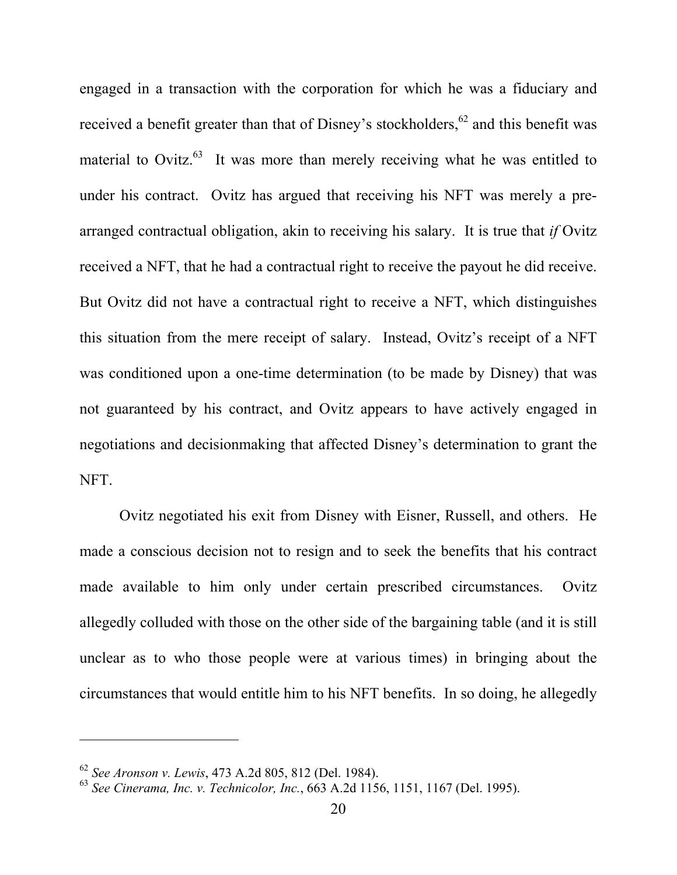engaged in a transaction with the corporation for which he was a fiduciary and received a benefit greater than that of Disney's stockholders,  $62$  and this benefit was material to Ovitz. $^{63}$  It was more than merely receiving what he was entitled to under his contract. Ovitz has argued that receiving his NFT was merely a prearranged contractual obligation, akin to receiving his salary. It is true that *if* Ovitz received a NFT, that he had a contractual right to receive the payout he did receive. But Ovitz did not have a contractual right to receive a NFT, which distinguishes this situation from the mere receipt of salary. Instead, Ovitz's receipt of a NFT was conditioned upon a one-time determination (to be made by Disney) that was not guaranteed by his contract, and Ovitz appears to have actively engaged in negotiations and decisionmaking that affected Disney's determination to grant the NFT.

Ovitz negotiated his exit from Disney with Eisner, Russell, and others. He made a conscious decision not to resign and to seek the benefits that his contract made available to him only under certain prescribed circumstances. Ovitz allegedly colluded with those on the other side of the bargaining table (and it is still unclear as to who those people were at various times) in bringing about the circumstances that would entitle him to his NFT benefits. In so doing, he allegedly

<sup>62</sup> *See Aronson v. Lewis*, 473 A.2d 805, 812 (Del. 1984).

<sup>63</sup> *See Cinerama, Inc. v. Technicolor, Inc.*, 663 A.2d 1156, 1151, 1167 (Del. 1995).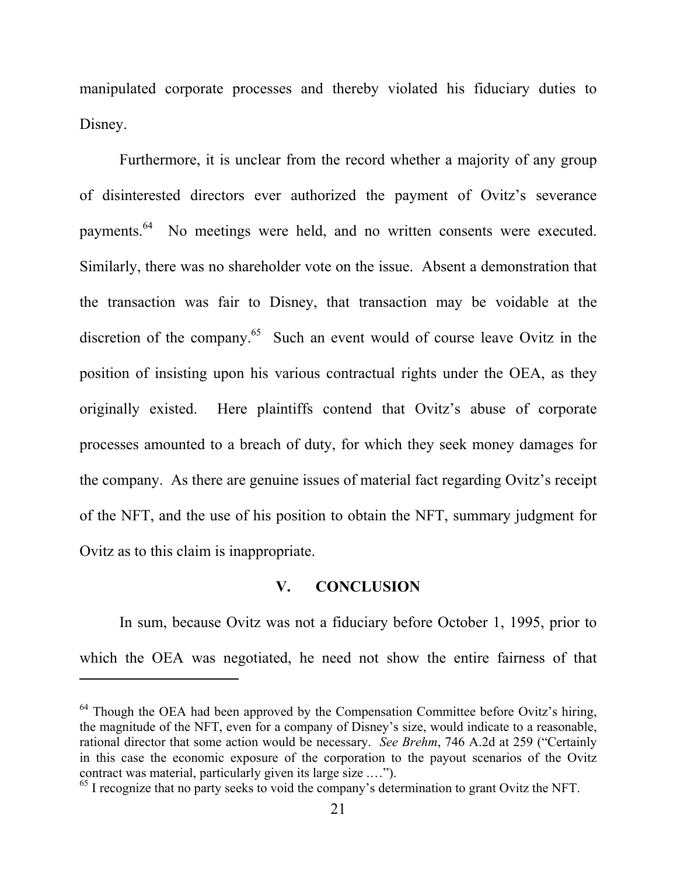manipulated corporate processes and thereby violated his fiduciary duties to Disney.

Furthermore, it is unclear from the record whether a majority of any group of disinterested directors ever authorized the payment of Ovitz's severance payments.64 No meetings were held, and no written consents were executed. Similarly, there was no shareholder vote on the issue. Absent a demonstration that the transaction was fair to Disney, that transaction may be voidable at the discretion of the company.<sup>65</sup> Such an event would of course leave Ovitz in the position of insisting upon his various contractual rights under the OEA, as they originally existed. Here plaintiffs contend that Ovitz's abuse of corporate processes amounted to a breach of duty, for which they seek money damages for the company. As there are genuine issues of material fact regarding Ovitz's receipt of the NFT, and the use of his position to obtain the NFT, summary judgment for Ovitz as to this claim is inappropriate.

### **V. CONCLUSION**

In sum, because Ovitz was not a fiduciary before October 1, 1995, prior to which the OEA was negotiated, he need not show the entire fairness of that

 $64$  Though the OEA had been approved by the Compensation Committee before Ovitz's hiring, the magnitude of the NFT, even for a company of Disney's size, would indicate to a reasonable, rational director that some action would be necessary. *See Brehm*, 746 A.2d at 259 ("Certainly in this case the economic exposure of the corporation to the payout scenarios of the Ovitz contract was material, particularly given its large size .…").

<sup>&</sup>lt;sup>65</sup> I recognize that no party seeks to void the company's determination to grant Ovitz the NFT.